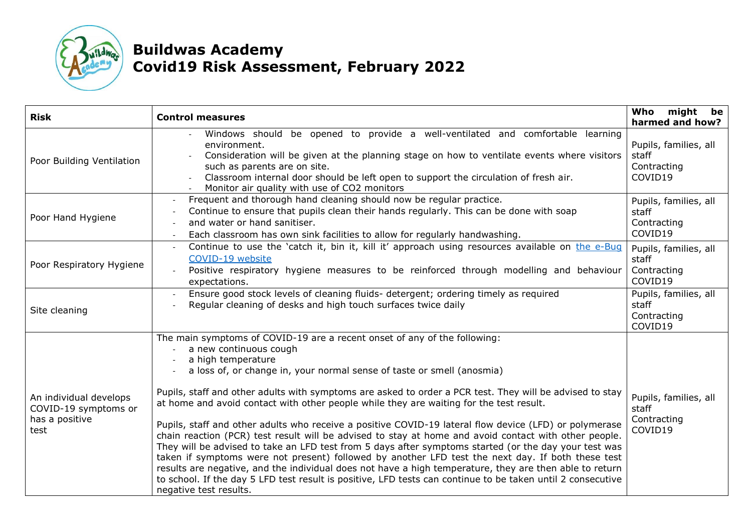

## **Buildwas Academy Covid19 Risk Assessment, February 2022**

| <b>Risk</b>                                                              | <b>Control measures</b>                                                                                                                                                                                                                                                                                                                                                                                                                                                                                                                                                                                                                                                                                                                                                                                                                                                                                                                                                                                                                                                                         | might be<br>Who<br>harmed and how?                       |
|--------------------------------------------------------------------------|-------------------------------------------------------------------------------------------------------------------------------------------------------------------------------------------------------------------------------------------------------------------------------------------------------------------------------------------------------------------------------------------------------------------------------------------------------------------------------------------------------------------------------------------------------------------------------------------------------------------------------------------------------------------------------------------------------------------------------------------------------------------------------------------------------------------------------------------------------------------------------------------------------------------------------------------------------------------------------------------------------------------------------------------------------------------------------------------------|----------------------------------------------------------|
| Poor Building Ventilation                                                | Windows should be opened to provide a well-ventilated and comfortable learning<br>environment.<br>Consideration will be given at the planning stage on how to ventilate events where visitors<br>such as parents are on site.<br>Classroom internal door should be left open to support the circulation of fresh air.<br>Monitor air quality with use of CO2 monitors                                                                                                                                                                                                                                                                                                                                                                                                                                                                                                                                                                                                                                                                                                                           | Pupils, families, all<br>staff<br>Contracting<br>COVID19 |
| Poor Hand Hygiene                                                        | Frequent and thorough hand cleaning should now be regular practice.<br>Continue to ensure that pupils clean their hands regularly. This can be done with soap<br>and water or hand sanitiser.<br>Each classroom has own sink facilities to allow for regularly handwashing.                                                                                                                                                                                                                                                                                                                                                                                                                                                                                                                                                                                                                                                                                                                                                                                                                     | Pupils, families, all<br>staff<br>Contracting<br>COVID19 |
| Poor Respiratory Hygiene                                                 | Continue to use the 'catch it, bin it, kill it' approach using resources available on the e-Bug<br>COVID-19 website<br>Positive respiratory hygiene measures to be reinforced through modelling and behaviour<br>expectations.                                                                                                                                                                                                                                                                                                                                                                                                                                                                                                                                                                                                                                                                                                                                                                                                                                                                  | Pupils, families, all<br>staff<br>Contracting<br>COVID19 |
| Site cleaning                                                            | Ensure good stock levels of cleaning fluids- detergent; ordering timely as required<br>Regular cleaning of desks and high touch surfaces twice daily                                                                                                                                                                                                                                                                                                                                                                                                                                                                                                                                                                                                                                                                                                                                                                                                                                                                                                                                            | Pupils, families, all<br>staff<br>Contracting<br>COVID19 |
| An individual develops<br>COVID-19 symptoms or<br>has a positive<br>test | The main symptoms of COVID-19 are a recent onset of any of the following:<br>a new continuous cough<br>a high temperature<br>a loss of, or change in, your normal sense of taste or smell (anosmia)<br>Pupils, staff and other adults with symptoms are asked to order a PCR test. They will be advised to stay<br>at home and avoid contact with other people while they are waiting for the test result.<br>Pupils, staff and other adults who receive a positive COVID-19 lateral flow device (LFD) or polymerase<br>chain reaction (PCR) test result will be advised to stay at home and avoid contact with other people.<br>They will be advised to take an LFD test from 5 days after symptoms started (or the day your test was<br>taken if symptoms were not present) followed by another LFD test the next day. If both these test<br>results are negative, and the individual does not have a high temperature, they are then able to return<br>to school. If the day 5 LFD test result is positive, LFD tests can continue to be taken until 2 consecutive<br>negative test results. | Pupils, families, all<br>staff<br>Contracting<br>COVID19 |